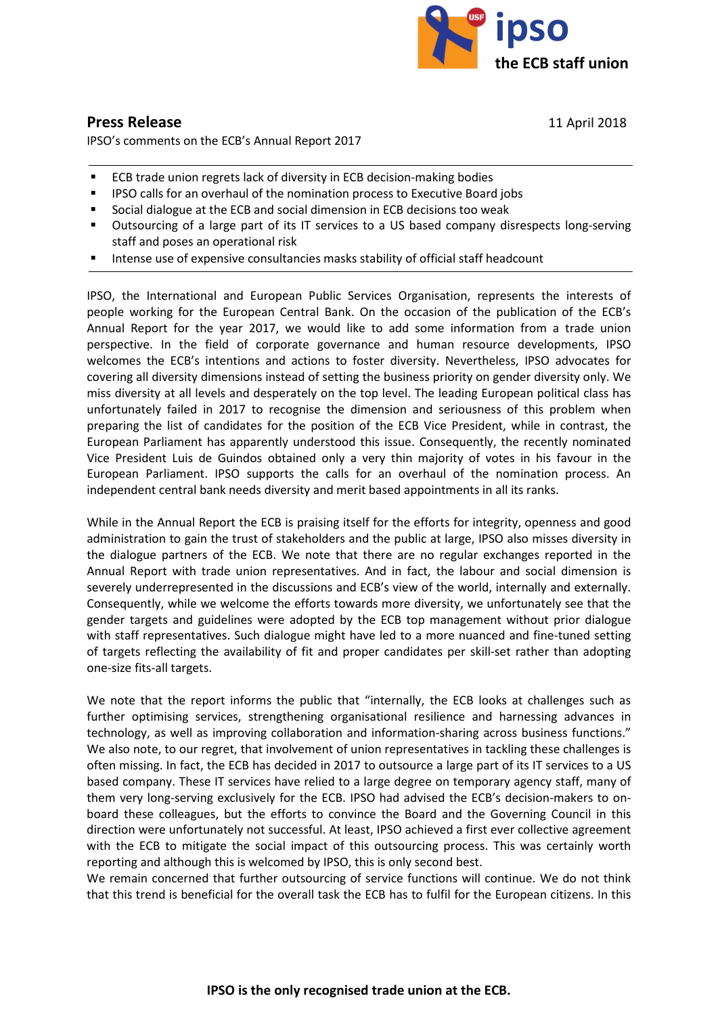

## **Press Release** 11 April 2018

IPSO's comments on the ECB's Annual Report 2017

- **ECB trade union regrets lack of diversity in ECB decision-making bodies**
- **IPSO calls for an overhaul of the nomination process to Executive Board jobs**
- Social dialogue at the ECB and social dimension in ECB decisions too weak
- **Dutsourcing of a large part of its IT services to a US based company disrespects long-serving** staff and poses an operational risk
- Intense use of expensive consultancies masks stability of official staff headcount

IPSO, the International and European Public Services Organisation, represents the interests of people working for the European Central Bank. On the occasion of the publication of the [ECB's](https://www.ecb.europa.eu/pub/annual/html/ar2017.en.html#IDofChapter3_13)  [Annual Report for the year 2017,](https://www.ecb.europa.eu/pub/annual/html/ar2017.en.html#IDofChapter3_13) we would like to add some information from a trade union perspective. In the field of corporate governance and human resource developments, IPSO welcomes the ECB's intentions and actions to foster diversity. Nevertheless, IPSO advocates for covering all diversity dimensions instead of setting the business priority on gender diversity only. We miss diversity at all levels and desperately on the top level. The leading European political class has unfortunately failed in 2017 to recognise the dimension and seriousness of this problem when preparing the list of candidates for the position of the ECB Vice President, while in contrast, the European Parliament has apparently understood this issue. Consequently, the recently nominated Vice President Luis de Guindos obtained only a very thin majority of votes in his favour in the European Parliament. IPSO supports the calls for an overhaul of the nomination process. An independent central bank needs diversity and merit based appointments in all its ranks.

While in the Annual Report the ECB is praising itself for the efforts for integrity, openness and good administration to gain the trust of stakeholders and the public at large, IPSO also misses diversity in the dialogue partners of the ECB. We note that there are no regular exchanges reported in the Annual Report with trade union representatives. And in fact, the labour and social dimension is severely underrepresented in the discussions and ECB's view of the world, internally and externally. Consequently, while we welcome the efforts towards more diversity, we unfortunately see that the gender targets and guidelines were adopted by the ECB top management without prior dialogue with staff representatives. Such dialogue might have led to a more nuanced and fine-tuned setting of targets reflecting the availability of fit and proper candidates per skill-set rather than adopting one-size fits-all targets.

We note that the report informs the public that "internally, the ECB looks at challenges such as further optimising services, strengthening organisational resilience and harnessing advances in technology, as well as improving collaboration and information-sharing across business functions." We also note, to our regret, that involvement of union representatives in tackling these challenges is often missing. In fact, the ECB has decided in 2017 to outsource a large part of its IT services to a US based company. These IT services have relied to a large degree on temporary agency staff, many of them very long-serving exclusively for the ECB. IPSO had advised the ECB's decision-makers to onboard these colleagues, but the efforts to convince the Board and the Governing Council in this direction were unfortunately not successful. At least, IPSO achieved a first ever collective agreement with the ECB to mitigate the social impact of this outsourcing process. This was certainly worth reporting and although this is welcomed by IPSO, this is only second best.

We remain concerned that further outsourcing of service functions will continue. We do not think that this trend is beneficial for the overall task the ECB has to fulfil for the European citizens. In this